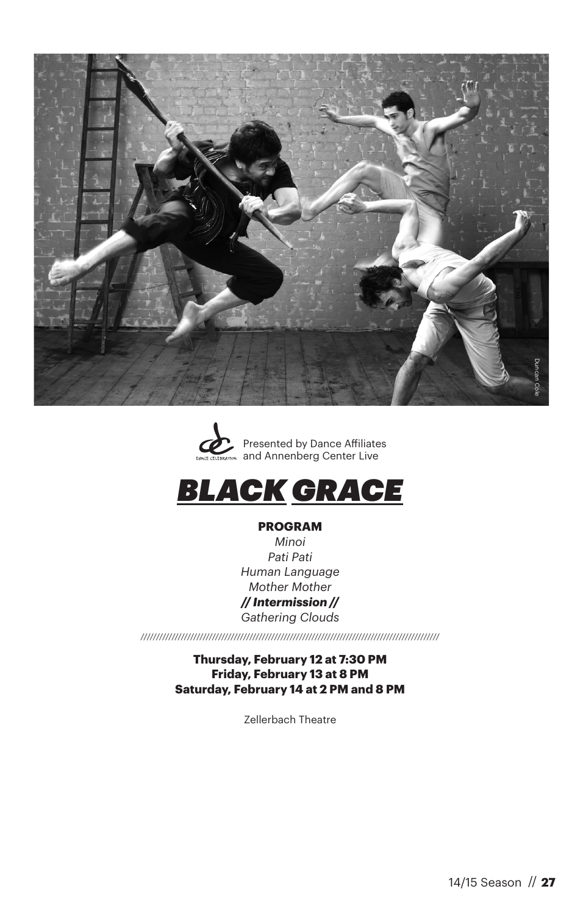





#### **PROGRAM**

*Minoi Pati Pati Human Language Mother Mother // Intermission // Gathering Clouds*

*////////////////////////////////////////////////////////////////////////////////////////////////*

**Thursday, February 12 at 7:30 PM Friday, February 13 at 8 PM Saturday, February 14 at 2 PM and 8 PM**

Zellerbach Theatre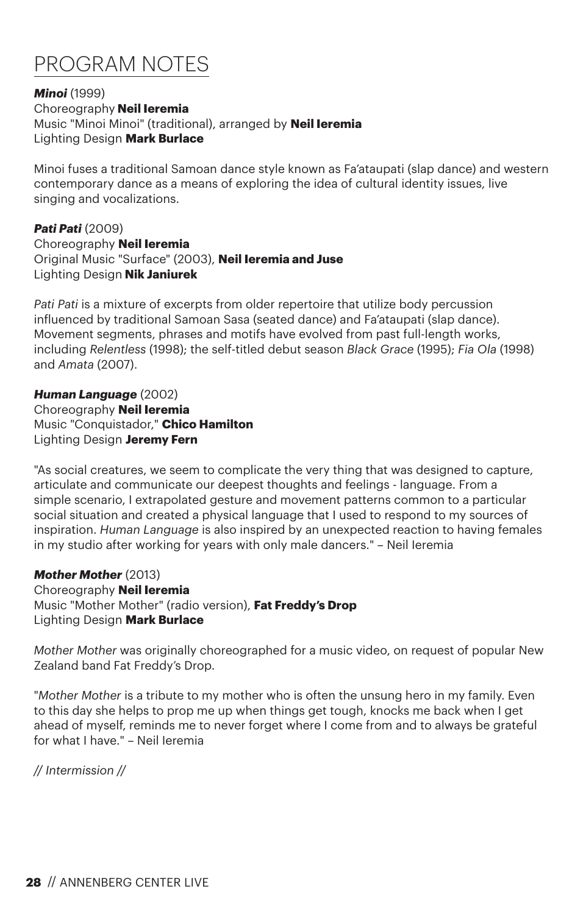# PROGRAM NOTES

#### *Minoi* (1999) Choreography **Neil Ieremia** Music "Minoi Minoi" (traditional), arranged by **Neil Ieremia** Lighting Design **Mark Burlace**

Minoi fuses a traditional Samoan dance style known as Fa'ataupati (slap dance) and western contemporary dance as a means of exploring the idea of cultural identity issues, live singing and vocalizations.

#### *Pati Pati* (2009) Choreography **Neil Ieremia** Original Music "Surface" (2003), **Neil Ieremia and Juse** Lighting Design **Nik Janiurek**

*Pati Pati* is a mixture of excerpts from older repertoire that utilize body percussion influenced by traditional Samoan Sasa (seated dance) and Fa'ataupati (slap dance). Movement segments, phrases and motifs have evolved from past full-length works, including *Relentless* (1998); the self-titled debut season *Black Grace* (1995); *Fia Ola* (1998) and *Amata* (2007).

#### *Human Language* (2002) Choreography **Neil Ieremia** Music "Conquistador," **Chico Hamilton** Lighting Design **Jeremy Fern**

"As social creatures, we seem to complicate the very thing that was designed to capture, articulate and communicate our deepest thoughts and feelings - language. From a simple scenario, I extrapolated gesture and movement patterns common to a particular social situation and created a physical language that I used to respond to my sources of inspiration. *Human Language* is also inspired by an unexpected reaction to having females in my studio after working for years with only male dancers." – Neil Ieremia

## *Mother Mother* (2013)

Choreography **Neil Ieremia** Music "Mother Mother" (radio version), **Fat Freddy's Drop** Lighting Design **Mark Burlace**

*Mother Mother* was originally choreographed for a music video, on request of popular New Zealand band Fat Freddy's Drop.

"*Mother Mother* is a tribute to my mother who is often the unsung hero in my family. Even to this day she helps to prop me up when things get tough, knocks me back when I get ahead of myself, reminds me to never forget where I come from and to always be grateful for what I have." – Neil Ieremia

*// Intermission //*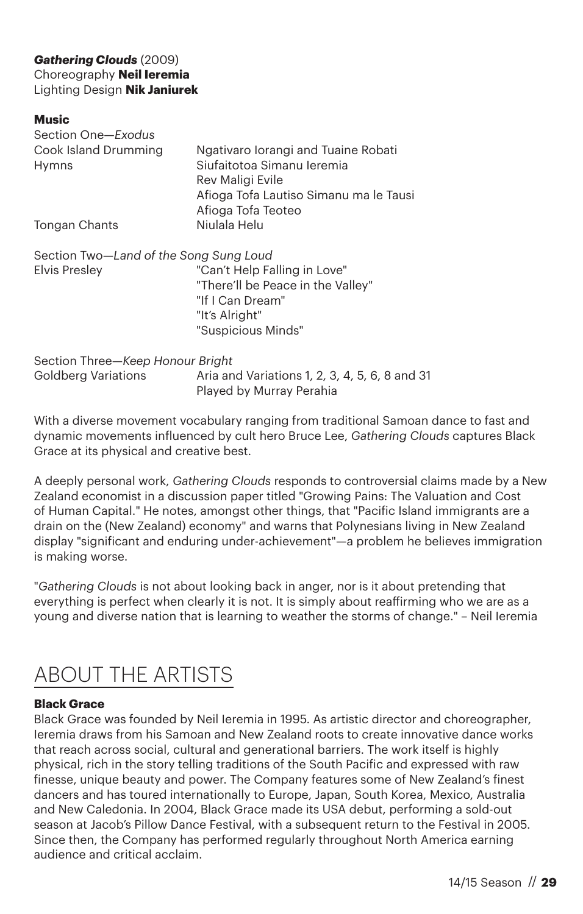## *Gathering Clouds* (2009) Choreography **Neil Ieremia** Lighting Design **Nik Janiurek**

#### **Music**

| Section One-Exodus                     |                                                                                       |
|----------------------------------------|---------------------------------------------------------------------------------------|
| Cook Island Drumming<br>Hymns          | Ngativaro lorangi and Tuaine Robati<br>Siufaitotoa Simanu Ieremia<br>Rev Maligi Evile |
|                                        | Afioga Tofa Lautiso Simanu ma le Tausi<br>Afioga Tofa Teoteo                          |
| Tongan Chants                          | Niulala Helu                                                                          |
| Section Two-Land of the Song Sung Loud |                                                                                       |
| <b>Elvis Presley</b>                   | "Can't Help Falling in Love"<br>"There'll be Peace in the Valley"<br>"If I Can Dream" |
|                                        | "It's Alright"                                                                        |
|                                        | "Suspicious Minds"                                                                    |
| Section Three-Keep Honour Bright       |                                                                                       |
| <b>Goldberg Variations</b>             | Aria and Variations 1, 2, 3, 4, 5, 6, 8 and 31<br>Played by Murray Perahia            |

With a diverse movement vocabulary ranging from traditional Samoan dance to fast and dynamic movements influenced by cult hero Bruce Lee, *Gathering Clouds* captures Black Grace at its physical and creative best.

A deeply personal work, *Gathering Clouds* responds to controversial claims made by a New Zealand economist in a discussion paper titled "Growing Pains: The Valuation and Cost of Human Capital." He notes, amongst other things, that "Pacific Island immigrants are a drain on the (New Zealand) economy" and warns that Polynesians living in New Zealand display "significant and enduring under-achievement"—a problem he believes immigration is making worse.

"*Gathering Clouds* is not about looking back in anger, nor is it about pretending that everything is perfect when clearly it is not. It is simply about reaffirming who we are as a young and diverse nation that is learning to weather the storms of change." – Neil Ieremia

## ABOUT THE ARTISTS

## **Black Grace**

Black Grace was founded by Neil Ieremia in 1995. As artistic director and choreographer, Ieremia draws from his Samoan and New Zealand roots to create innovative dance works that reach across social, cultural and generational barriers. The work itself is highly physical, rich in the story telling traditions of the South Pacific and expressed with raw finesse, unique beauty and power. The Company features some of New Zealand's finest dancers and has toured internationally to Europe, Japan, South Korea, Mexico, Australia and New Caledonia. In 2004, Black Grace made its USA debut, performing a sold-out season at Jacob's Pillow Dance Festival, with a subsequent return to the Festival in 2005. Since then, the Company has performed regularly throughout North America earning audience and critical acclaim.